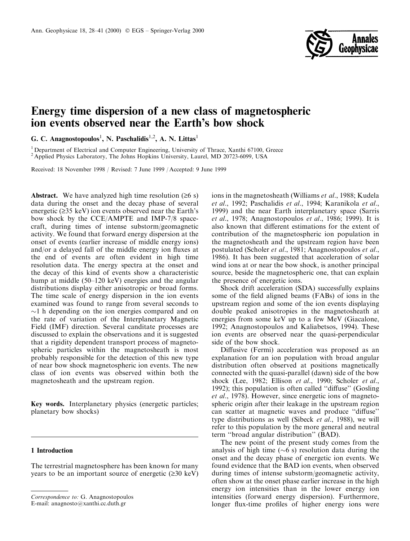

# Energy time dispersion of a new class of magnetospheric ion events observed near the Earth's bow shock

G. C. Anagnostopoulos<sup>1</sup>, N. Paschalidis<sup>1,2</sup>, A. N. Littas<sup>1</sup>

<sup>1</sup> Department of Electrical and Computer Engineering, University of Thrace, Xanthi 67100, Greece <sup>2</sup> Applied Physics Laboratory, The Johns Hopkins University, Laurel, MD 20723-6099, USA

Received: 18 November 1998 / Revised: 7 June 1999 / Accepted: 9 June 1999

**Abstract.** We have analyzed high time resolution  $(26 s)$ data during the onset and the decay phase of several energetic  $(≥35 \text{ keV})$  ion events observed near the Earth's bow shock by the CCE/AMPTE and IMP-7/8 spacecraft, during times of intense substorm/geomagnetic activity. We found that forward energy dispersion at the onset of events (earlier increase of middle energy ions) and/or a delayed fall of the middle energy ion fluxes at the end of events are often evident in high time resolution data. The energy spectra at the onset and the decay of this kind of events show a characteristic hump at middle  $(50-120 \text{ keV})$  energies and the angular distributions display either anisotropic or broad forms. The time scale of energy dispersion in the ion events examined was found to range from several seconds to  $\sim$ 1 h depending on the ion energies compared and on the rate of variation of the Interplanetary Magnetic Field (IMF) direction. Several canditate processes are discussed to explain the observations and it is suggested that a rigidity dependent transport process of magnetospheric particles within the magnetosheath is most probably responsible for the detection of this new type of near bow shock magnetospheric ion events. The new class of ion events was observed within both the magnetosheath and the upstream region.

Key words. Interplanetary physics (energetic particles; planetary bow shocks)

# 1 Introduction

The terrestrial magnetosphere has been known for many years to be an important source of energetic  $(\geq 30 \text{ keV})$  ions in the magnetosheath (Williams *et al.*, 1988; Kudela et al., 1992; Paschalidis et al., 1994; Karanikola et al., 1999) and the near Earth interplanetary space (Sarris et al., 1978; Anagnostopoulos et al., 1986; 1999). It is also known that different estimations for the extent of contribution of the magnetospheric ion population in the magnetosheath and the upstream region have been postulated (Scholer et al., 1981; Anagnostopoulos et al., 1986). It has been suggested that acceleration of solar wind ions at or near the bow shock, is another principal source, beside the magnetospheric one, that can explain the presence of energetic ions.

Shock drift acceleration (SDA) successfully explains some of the field aligned beams (FABs) of ions in the upstream region and some of the ion events displaying double peaked anisotropies in the magnetosheath at energies from some keV up to a few MeV (Giacalone, 1992; Anagnostopoulos and Kaliabetsos, 1994). These ion events are observed near the quasi-perpendicular side of the bow shock.

Diffusive (Fermi) acceleration was proposed as an explanation for an ion population with broad angular distribution often observed at positions magnetically connected with the quasi-parallel (dawn) side of the bow shock (Lee, 1982; Ellison et al., 1990; Scholer et al., 1992); this population is often called "diffuse" (Gosling et al., 1978). However, since energetic ions of magnetospheric origin after their leakage in the upstream region can scatter at magnetic waves and produce "diffuse" type distributions as well (Sibeck et al., 1988), we will refer to this population by the more general and neutral term "broad angular distribution" (BAD).

The new point of the present study comes from the analysis of high time  $(\sim 6 \text{ s})$  resolution data during the onset and the decay phase of energetic ion events. We found evidence that the BAD ion events, when observed during times of intense substorm/geomagnetic activity, often show at the onset phase earlier increase in the high energy ion intensities than in the lower energy ion intensities (forward energy dispersion). Furthermore, longer flux-time profiles of higher energy ions were

Correspondence to: G. Anagnostopoulos

E-mail: anagnosto@xanthi.cc.duth.gr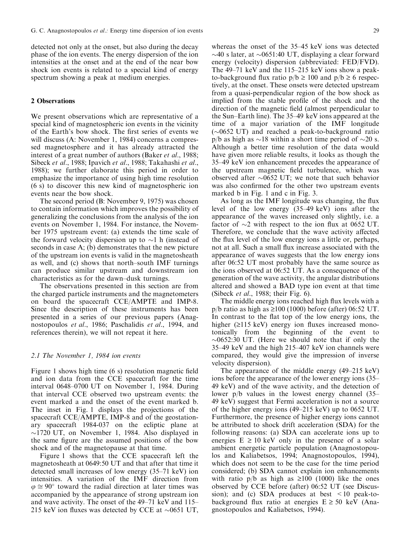detected not only at the onset, but also during the decay phase of the ion events. The energy dispersion of the ion intensities at the onset and at the end of the near bow shock ion events is related to a special kind of energy spectrum showing a peak at medium energies.

# 2 Observations

We present observations which are representative of a special kind of magnetospheric ion events in the vicinity of the Earth's bow shock. The first series of events we will discuss (A: November 1, 1984) concerns a compressed magnetosphere and it has already attracted the interest of a great number of authors (Baker et al., 1988; Sibeck et al., 1988; Ipavich et al., 1988; Takahashi et al., 1988); we further elaborate this period in order to emphasize the importance of using high time resolution (6 s) to discover this new kind of magnetospheric ion events near the bow shock.

The second period (B: November 9, 1975) was chosen to contain information which improves the possibility of generalizing the conclusions from the analysis of the ion events on November 1, 1984. For instance, the November 1975 upstream event: (a) extends the time scale of the forward velocity dispersion up to  $\sim$ 1 h (instead of seconds in case A; (b) demonstrates that the new picture of the upstream ion events is valid in the magnetosheath as well, and (c) shows that north-south IMF turnings can produce similar upstream and downstream ion characteristics as for the dawn-dusk turnings.

The observations presented in this section are from the charged particle instruments and the magnetometers on board the spacecraft CCE/AMPTE and IMP-8. Since the description of these instruments has been presented in a series of our previous papers (Anagnostopoulos et al., 1986; Paschalidis et al., 1994, and references therein), we will not repeat it here.

#### 2.1 The November 1, 1984 ion events

Figure 1 shows high time  $(6 s)$  resolution magnetic field and ion data from the CCE spacecraft for the time interval 0648-0700 UT on November 1, 1984. During that interval CCE observed two upstream events: the event marked a and the onset of the event marked b. The inset in Fig. 1 displays the projections of the spacecraft CCE/AMPTE, IMP-8 and of the geostationary spacecraft 1984-037 on the ecliptic plane at  $\sim$ 1720 UT, on November 1, 1984. Also displayed in the same figure are the assumed positions of the bow shock and of the magnetopause at that time.

Figure 1 shows that the CCE spacecraft left the magnetosheath at 0649:50 UT and that after that time it detected small increases of low energy  $(35-71 \text{ keV})$  ion intensities. A variation of the IMF direction from  $\varphi \cong 90^{\circ}$  toward the radial direction at later times was accompanied by the appearance of strong upstream ion and wave activity. The onset of the  $49-71$  keV and  $115-$ 215 keV ion fluxes was detected by CCE at  $\sim 0651$  UT,

whereas the onset of the  $35-45$  keV ions was detected  $\sim$ 40 s later, at  $\sim$ 0651:40 UT, displaying a clear forward energy (velocity) dispersion (abbreviated: FED/FVD). The  $49-71$  keV and the 115-215 keV ions show a peakto-background flux ratio  $p/b \ge 100$  and  $p/b \ge 6$  respectively, at the onset. These onsets were detected upstream from a quasi-perpendicular region of the bow shock as implied from the stable profile of the shock and the direction of the magnetic field (almost perpendicular to the Sun-Earth line). The  $35-49$  keV ions appeared at the time of a major variation of the IMF longitude  $(\sim 0652 \text{ UT})$  and reached a peak-to-background ratio p/b as high as  $\sim$ 18 within a short time period of  $\sim$ 20 s. Although a better time resolution of the data would have given more reliable results, it looks as though the 35–49 keV ion enhancement precedes the appearance of the upstream magnetic field turbulence, which was observed after  $\sim 0652$  UT; we note that such behavior was also confirmed for the other two upstream events marked b in Fig. 1 and c in Fig. 3.

As long as the IMF longitude was changing, the flux level of the low energy  $(35-49 \text{ keV})$  ions after the appearance of the waves increased only slightly, i.e. a factor of  $\sim$ 2 with respect to the ion flux at 0652 UT. Therefore, we conclude that the wave activity affected the flux level of the low energy ions a little or, perhaps, not at all. Such a small flux increase associated with the appearance of waves suggests that the low energy ions after 06:52 UT most probably have the same source as the ions observed at 06:52 UT. As a consequence of the generation of the wave activity, the angular distributions altered and showed a BAD type ion event at that time (Sibeck et al., 1988; their Fig. 6).

The middle energy ions reached high flux levels with a  $p/b$  ratio as high as  $\geq 100$  (1000) before (after) 06:52 UT. In contrast to the flat top of the low energy ions, the higher  $(2115 \text{ keV})$  energy ion fluxes increased monotonically from the beginning of the event to  $\sim 0652:30$  UT. (Here we should note that if only the  $35-49$  keV and the high  $215-407$  keV ion channels were compared, they would give the impression of inverse velocity dispersion).

The appearance of the middle energy  $(49-215 \text{ keV})$ ions before the appearance of the lower energy ions (35– 49 keV) and of the wave activity, and the detection of lower  $p/b$  values in the lowest energy channel  $(35-$ 49 keV) suggest that Fermi acceleration is not a source of the higher energy ions  $(49-215 \text{ keV})$  up to 0652 UT. Furthermore, the presence of higher energy ions cannot be attributed to shock drift acceleration (SDA) for the following reasons: (a) SDA can accelerate ions up to energies  $E \ge 10 \text{ keV}$  only in the presence of a solar ambient energetic particle population (Anagnostopoulos and Kaliabetsos, 1994; Anagnostopoulos, 1994), which does not seem to be the case for the time period considered; (b) SDA cannot explain ion enhancements with ratio  $p/b$  as high as  $\geq 100$  (1000) like the ones observed by CCE before (after) 06:52 UT (see Discussion); and (c) SDA produces at best  $\leq 10$  peak-tobackground flux ratio at energies  $E \ge 50$  keV (Anagnostopoulos and Kaliabetsos, 1994).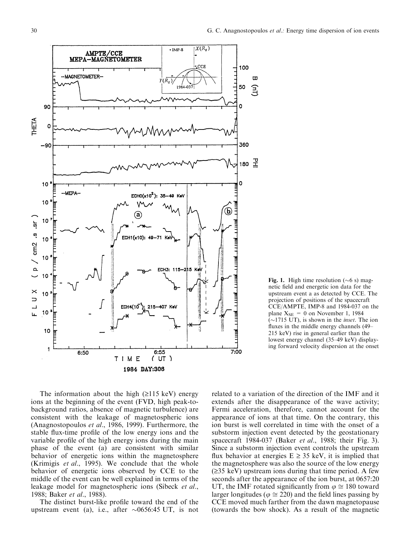

Fig. 1. High time resolution ( $\sim$ 6 s) magnetic field and energetic ion data for the upstream event a as detected by CCE. The projection of positions of the spacecraft CCE/AMPTE, IMP-8 and 1984-037 on the plane  $X_{SE} = 0$  on November 1, 1984  $(\sim 1715 \text{ UT})$ , is shown in the *inset*. The ion fluxes in the middle energy channels  $(49-$ 215 keV) rise in general earlier than the lowest energy channel (35-49 keV) displaying forward velocity dispersion at the onset

The information about the high  $(≥115 \text{ keV})$  energy ions at the beginning of the event (FVD, high peak-tobackground ratios, absence of magnetic turbulence) are consistent with the leakage of magnetospheric ions (Anagnostopoulos et al., 1986, 1999). Furthermore, the stable flux-time profile of the low energy ions and the variable profile of the high energy ions during the main phase of the event (a) are consistent with similar behavior of energetic ions within the magnetosphere (Krimigis et al., 1995). We conclude that the whole behavior of energetic ions observed by CCE to the middle of the event can be well explained in terms of the leakage model for magnetospheric ions (Sibeck et al., 1988; Baker et al., 1988).

The distinct burst-like profile toward the end of the upstream event (a), i.e., after  $\sim 0656:45 \text{ UT}$ , is not related to a variation of the direction of the IMF and it extends after the disappearance of the wave activity; Fermi acceleration, therefore, cannot account for the appearance of ions at that time. On the contrary, this ion burst is well correlated in time with the onset of a substorm injection event detected by the geostationary spacecraft 1984-037 (Baker et al., 1988; their Fig. 3). Since a substorm injection event controls the upstream flux behavior at energies  $E \geq 35$  keV, it is implied that the magnetosphere was also the source of the low energy  $(\geq 35 \text{ keV})$  upstream ions during that time period. A few seconds after the appearance of the ion burst, at 0657:20 UT, the IMF rotated significantly from  $\varphi \cong 180$  toward larger longitudes ( $\varphi \cong 220$ ) and the field lines passing by CCE moved much farther from the dawn magnetopause (towards the bow shock). As a result of the magnetic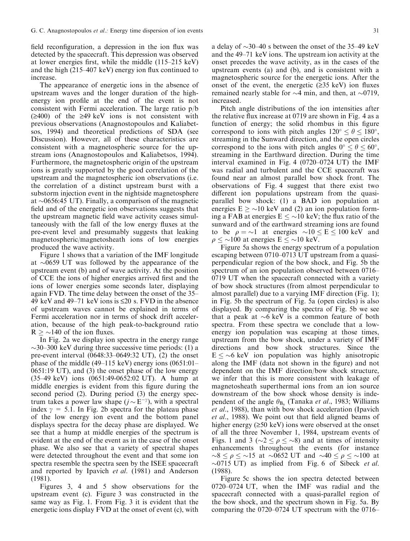field reconfiguration, a depression in the ion flux was detected by the spacecraft. This depression was observed at lower energies first, while the middle  $(115-215 \text{ keV})$ and the high  $(215-407 \text{ keV})$  energy ion flux continued to increase.

The appearance of energetic ions in the absence of upstream waves and the longer duration of the highenergy ion profile at the end of the event is not consistent with Fermi acceleration. The large ratio p/b  $(\geq 400)$  of the  $\geq 49$  keV ions is not consistent with previous observations (Anagnostopoulos and Kaliabetsos, 1994) and theoretical predictions of SDA (see Discussion). However, all of these characteristics are consistent with a magnetospheric source for the upstream ions (Anagnostopoulos and Kaliabetsos, 1994). Furthermore, the magnetospheric origin of the upstream ions is greatly supported by the good correlation of the upstream and the magnetospheric ion observations (i.e. the correlation of a distinct upstream burst with a substorm injection event in the nightside magnetosphere at  $\sim 0656:45$  UT). Finally, a comparison of the magnetic field and of the energetic ion observations suggests that the upstream magnetic field wave activity ceases simultaneously with the fall of the low energy fluxes at the pre-event level and presumably suggests that leaking magnetospheric/magnetosheath ions of low energies produced the wave activity.

Figure 1 shows that a variation of the IMF longitude at  $\sim 0659$  UT was followed by the appearance of the upstream event (b) and of wave activity. At the position of CCE the ions of higher energies arrived first and the ions of lower energies some seconds later, displaying again FVD. The time delay between the onset of the 35 $-$ 49 keV and 49–71 keV ions is  $\leq 20$  s. FVD in the absence of upstream waves cannot be explained in terms of Fermi acceleration nor in terms of shock drift acceleration, because of the high peak-to-background ratio  $R \geq \sim 140$  of the ion fluxes.

In Fig. 2a we display ion spectra in the energy range  $\sim$ 30–300 keV during three successive time periods: (1) a pre-event interval  $(0648:33-0649:32 \text{ UT})$ ,  $(2)$  the onset phase of the middle (49–115 keV) energy ions  $(0651:01-$ 0651:19 UT), and (3) the onset phase of the low energy (35±49 keV) ions (0651:49-0652:02 UT). A hump at middle energies is evident from this figure during the second period (2). During period (3) the energy spectrum takes a power law shape  $(j \sim E^{-\gamma})$ , with a spectral index  $\gamma = 5.1$ . In Fig. 2b spectra for the plateau phase of the low energy ion event and the bottom panel displays spectra for the decay phase are displayed. We see that a hump at middle energies of the spectrum is evident at the end of the event as in the case of the onset phase. We also see that a variety of spectral shapes were detected throughout the event and that some ion spectra resemble the spectra seen by the ISEE spacecraft and reported by Ipavich et al. (1981) and Anderson (1981).

Figures 3, 4 and 5 show observations for the upstream event (c). Figure 3 was constructed in the same way as Fig. 1. From Fig. 3 it is evident that the energetic ions display FVD at the onset of event (c), with

a delay of  $\sim$ 30 $-40$  s between the onset of the 35 $-49$  keV and the  $49-71$  keV ions. The upstream ion activity at the onset precedes the wave activity, as in the cases of the upstream events (a) and (b), and is consistent with a magnetospheric source for the energetic ions. After the onset of the event, the energetic  $(≥35 \text{ keV})$  ion fluxes remained nearly stable for  $\sim$ 4 min, and then, at  $\sim$ 0719, increased.

Pitch angle distributions of the ion intensities after the relative flux increase at  $0719$  are shown in Fig. 4 as a function of energy; the solid rhombus in this figure correspond to ions with pitch angles  $120^{\circ} < \theta < 180^{\circ}$ , streaming in the Sunward direction, and the open circles correspond to the ions with pitch angles  $0^{\circ} \le \theta \le 60^{\circ}$ , streaming in the Earthward direction. During the time interval examined in Fig. 4 (0720 $-0724$  UT) the IMF was radial and turbulent and the CCE spacecraft was found near an almost parallel bow shock front. The observations of Fig. 4 suggest that there exist two different ion populations upstream from the quasiparallel bow shock: (1) a BAD ion population at energies  $E \geq 10$  keV and (2) an ion population forming a FAB at energies  $E \leq \sim 10$  keV; the flux ratio of the sunward and of the earthward streaming ions are found to be  $\rho = \sim 1$  at energies  $\sim 10 \le E \le 100$  keV and  $\rho \leq \sim 100$  at energies  $E \leq \sim 10$  keV.

Figure 5a shows the energy spectrum of a population escaping between 0710-0713 UT upstream from a quasiperpendicular region of the bow shock, and Fig. 5b the spectrum of an ion population observed between 0716 $-$ 0719 UT when the spacecraft connected with a variety of bow shock structures (from almost perpendicular to almost parallel) due to a varying IMF direction (Fig. 1); in Fig. 5b the spectrum of Fig. 5a (open circles) is also displayed. By comparing the spectra of Fig. 5b we see that a peak at  $\sim$ 6 keV is a common feature of both spectra. From these spectra we conclude that a lowenergy ion population was escaping at those times, upstream from the bow shock, under a variety of IMF directions and bow shock structures. Since the  $E \leq 6$  keV ion population was highly anisotropic along the IMF (data not shown in the figure) and not dependent on the IMF direction/bow shock structure, we infer that this is more consistent with leakage of magnetosheath superthermal ions from an ion source downstream of the bow shock whose density is independent of the angle  $\theta_{\text{B}_{n}}$  (Tanaka *et al.*, 1983; Williams et al., 1988), than with bow shock acceleration (Ipavich  $et al., 1988$ ). We point out that field aligned beams of higher energy  $(\geq 50 \text{ keV})$  ions were observed at the onset of all the three November 1, 1984, upstream events of Figs. 1 and 3 ( $\sim$ 2  $\leq \rho \leq \sim$ 8) and at times of intensity enhancements throughout the events (for instance  $\sim$ 8  $\leq \rho \leq \sim$ 15 at  $\sim$ 0652 UT and  $\sim$ 40  $\leq \rho \leq \sim$ 100 at  $\sim$ 0715 UT) as implied from Fig. 6 of Sibeck *et al.* (1988).

Figure 5c shows the ion spectra detected between 0720–0724 UT, when the IMF was radial and the spacecraft connected with a quasi-parallel region of the bow shock, and the spectrum shown in Fig. 5a. By comparing the  $0720-0724$  UT spectrum with the  $0716-$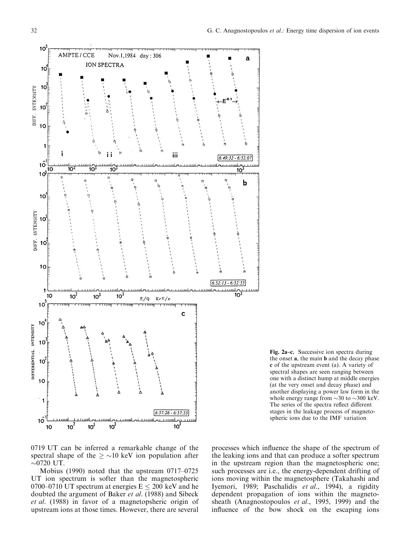



0719 UT can be inferred a remarkable change of the spectral shape of the  $\geq \sim 10$  keV ion population after  $\sim$ 0720 UT.

Mobius (1990) noted that the upstream  $0717-0725$ UT ion spectrum is softer than the magnetospheric 0700–0710 UT spectrum at energies  $E \le 200$  keV and he doubted the argument of Baker et al. (1988) and Sibeck et al. (1988) in favor of a magnetopsheric origin of upstream ions at those times. However, there are several

processes which influence the shape of the spectrum of the leaking ions and that can produce a softer spectrum in the upstream region than the magnetospheric one; such processes are i.e., the energy-dependent drifting of ions moving within the magnetosphere (Takahashi and Iyemori, 1989; Paschalidis et al., 1994), a rigidity dependent propagation of ions within the magnetosheath (Anagnostopoulos et al., 1995, 1999) and the influence of the bow shock on the escaping ions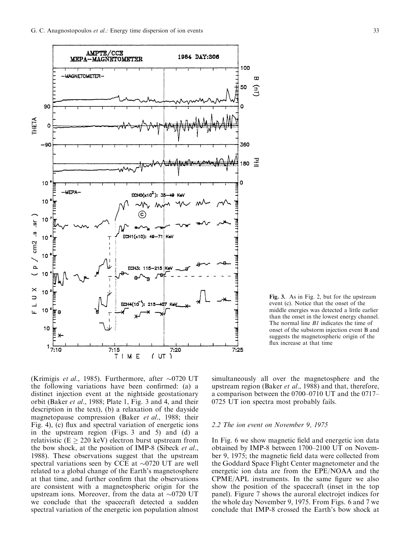

Fig. 3. As in Fig. 2, but for the upstream event (c). Notice that the onset of the middle energies was detected a little earlier than the onset in the lowest energy channel. The normal line *B1* indicates the time of onset of the substorm injection event B and suggests the magnetospheric origin of the flux increase at that time

(Krimigis et al., 1985). Furthermore, after  $\sim$ 0720 UT the following variations have been confirmed: (a) a distinct injection event at the nightside geostationary orbit (Baker et al., 1988; Plate 1, Fig. 3 and 4, and their description in the text), (b) a relaxation of the dayside magnetopause compression (Baker et al., 1988; their Fig. 4), (c) flux and spectral variation of energetic ions in the upstream region (Figs. 3 and 5) and (d) a relativistic ( $E \ge 220 \text{ keV}$ ) electron burst upstream from the bow shock, at the position of IMP-8 (Sibeck et al., 1988). These observations suggest that the upstream spectral variations seen by CCE at  $\sim$ 0720 UT are well related to a global change of the Earth's magnetosphere at that time, and further confirm that the observations are consistent with a magnetospheric origin for the upstream ions. Moreover, from the data at  $\sim$ 0720 UT we conclude that the spacecraft detected a sudden spectral variation of the energetic ion population almost

simultaneously all over the magnetosphere and the upstream region (Baker et al., 1988) and that, therefore, a comparison between the  $0700-0710$  UT and the  $0717-$ 0725 UT ion spectra most probably fails.

#### 2.2 The ion event on November 9, 1975

In Fig. 6 we show magnetic field and energetic ion data obtained by IMP-8 between 1700-2100 UT on November 9, 1975; the magnetic field data were collected from the Goddard Space Flight Center magnetometer and the energetic ion data are from the EPE/NOAA and the  $CPME/APL$  instruments. In the same figure we also show the position of the spacecraft (inset in the top panel). Figure 7 shows the auroral electrojet indices for the whole day November 9, 1975. From Figs. 6 and 7 we conclude that IMP-8 crossed the Earth's bow shock at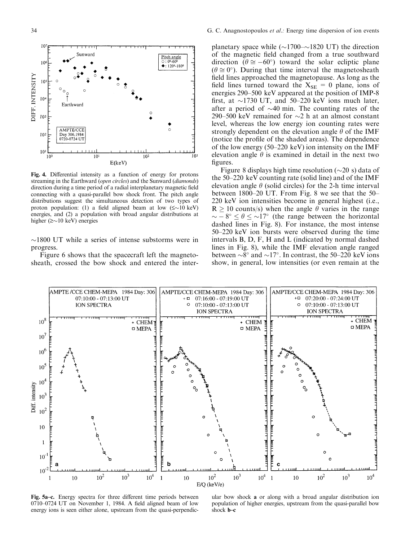

Fig. 4. Differential intensity as a function of energy for protons streaming in the Earthward (open circles) and the Sunward (diamonds) direction during a time period of a radial interplanetary magnetic field connecting with a quasi-parallel bow shock front. The pitch angle distributions suggest the simultaneous detection of two types of proton population: (1) a field aligned beam at low  $(\leq \sim 10 \text{ keV})$ energies, and (2) a population with broad angular distributions at higher ( $\ge$  10 keV) energies

 $\sim$ 1800 UT while a series of intense substorms were in progress.

Figure 6 shows that the spacecraft left the magnetosheath, crossed the bow shock and entered the inter-

planetary space while  $(\sim 1700-\sim 1820 \text{ UT})$  the direction of the magnetic field changed from a true southward direction ( $\theta \approx -60^{\circ}$ ) toward the solar ecliptic plane  $(\theta \cong 0^{\circ})$ . During that time interval the magnetosheath field lines approached the magnetopause. As long as the field lines turned toward the  $X_{SE} = 0$  plane, ions of energies 290-500 keV appeared at the position of IMP-8 first, at  $\sim$ 1730 UT, and 50–220 keV ions much later, after a period of  $\sim$ 40 min. The counting rates of the 290–500 keV remained for  $\sim$ 2 h at an almost constant level, whereas the low energy ion counting rates were strongly dependent on the elevation angle  $\theta$  of the IMF (notice the profile of the shaded areas). The dependence of the low energy  $(50-220 \text{ keV})$  ion intensity on the IMF elevation angle  $\theta$  is examined in detail in the next two figures.

Figure 8 displays high time resolution  $(\sim 20 \text{ s})$  data of the  $50-220$  keV counting rate (solid line) and of the IMF elevation angle  $\theta$  (solid circles) for the 2-h time interval between  $1800-20$  UT. From Fig. 8 we see that the  $50-$ 220 keV ion intensities become in general highest (i.e.,  $R \ge 10$  counts/s) when the angle  $\theta$  varies in the range  $\sim -8^{\circ} \le \theta \le \sim 17^{\circ}$  (the range between the horizontal dashed lines in Fig. 8). For instance, the most intense  $50-220$  keV ion bursts were observed during the time intervals B, D, F, H and L (indicated by normal dashed lines in Fig. 8), while the IMF elevation angle ranged between  $\sim 8^{\circ}$  and  $\sim 17^{\circ}$ . In contrast, the 50–220 keV ions show, in general, low intensities (or even remain at the



Fig. 5a-c. Energy spectra for three different time periods between  $0710-0724$  UT on November 1, 1984. A field aligned beam of low energy ions is seen either alone, upstream from the quasi-perpendic-

ular bow shock a or along with a broad angular distribution ion population of higher energies, upstream from the quasi-parallel bow shock  $$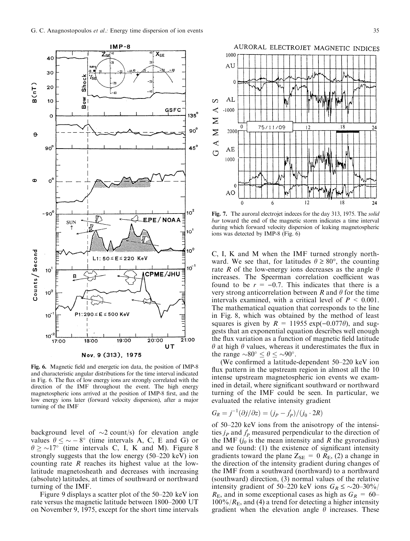

Fig. 6. Magnetic field and energetic ion data, the position of IMP-8 and characteristic angular distributions for the time interval indicated in Fig. 6. The flux of low energy ions are strongly correlated with the direction of the IMF throughout the event. The high energy magnetospheric ions arrived at the position of IMP-8 first, and the low energy ions later (forward velocity dispersion), after a major turning of the IMF

background level of  $\sim$ 2 count/s) for elevation angle values  $\theta \leq \infty - 8^{\circ}$  (time intervals A, C, E and G) or  $\theta \geq 17^{\circ}$  (time intervals C, I, K and M). Figure 8 strongly suggests that the low energy  $(50-220 \text{ keV})$  ion counting rate R reaches its highest value at the lowlatitude magnetosheath and decreases with increasing (absolute) latitudes, at times of southward or northward turning of the IMF.

Figure 9 displays a scatter plot of the 50–220 keV ion rate versus the magnetic latitude between 1800-2000 UT on November 9, 1975, except for the short time intervals



Fig. 7. The auroral electrojet indeces for the day 313, 1975. The solid bar toward the end of the magnetic storm indicates a time interval during which forward velocity dispersion of leaking magnetospheric ions was detected by IMP-8 (Fig. 6)

C, I, K and M when the IMF turned strongly northward. We see that, for latitudes  $\theta \ge 80^{\circ}$ , the counting rate R of the low-energy ions decreases as the angle  $\theta$ increases. The Speerman correlation coefficient was found to be  $r = -0.7$ . This indicates that there is a very strong anticorrelation between R and  $\theta$  for the time intervals examined, with a critical level of  $P < 0.001$ . The mathematical equation that corresponds to the line in Fig. 8, which was obtained by the method of least squares is given by  $R = 11955 \exp(-0.077\theta)$ , and suggests that an exponential equation describes well enough the flux variation as a function of magnetic field latitude  $\theta$  at high  $\theta$  values, whereas it underestimates the flux in the range  $\sim 80^\circ < \theta < \sim 90^\circ$ .

(We confirmed a latitude-dependent  $50-220$  keV ion flux pattern in the upstream region in almost all the 10 intense upstream magnetospheric ion events we examined in detail, where significant southward or northward turning of the IMF could be seen. In particular, we evaluated the relative intensity gradient

$$
G_R = j^{-1}(\partial j/\partial z) = (j_P - j'_P)/(j_0 \cdot 2R)
$$

of  $50-220$  keV ions from the anisotropy of the intensities  $j_P$  and  $j_P'$  measured perpendicular to the direction of the IMF  $(j_0$  is the mean intensity and R the gyroradius) and we found:  $(1)$  the existence of significant intensity gradients toward the plane  $Z_{SE} = 0 R_{E}$ , (2) a change in the direction of the intensity gradient during changes of the IMF from a southward (northward) to a northward (southward) direction, (3) normal values of the relative intensity gradient of 50–220 keV ions  $G_R \leq \sim 20-30\%$ /  $R_{\rm E}$ , and in some exceptional cases as high as  $G_R = 60 100\%$ / $R_E$ , and (4) a trend for detecting a higher intensity gradient when the elevation angle  $\theta$  increases. These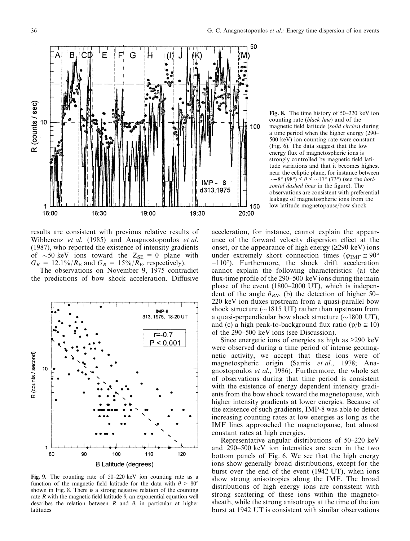

Fig. 8. The time history of  $50-220$  keV ion counting rate (black line) and of the magnetic field latitude (solid circles) during a time period when the higher energy (290– 500 keV) ion counting rate were constant (Fig. 6). The data suggest that the low energy flux of magnetospheric ions is strongly controlled by magnetic field latitude variations and that it becomes highest near the ecliptic plane, for instance between  $\sim$ -8° (98°)  $\leq \theta \leq \sim 17$ ° (73°) (see the *hori*zontal dashed lines in the figure). The observations are consistent with preferential leakage of magnetospheric ions from the low latitude magnetopause/bow shock

results are consistent with previous relative results of Wibberenz et al. (1985) and Anagnostopoulos et al. (1987), who reported the existence of intensity gradients of  $\sim$ 50 keV ions toward the Z<sub>SE</sub> = 0 plane with  $G_R = 12.1\%/R_E$  and  $G_R = 15\%/R_E$ , respectively).

The observations on November 9, 1975 contradict the predictions of bow shock acceleration. Diffusive



Fig. 9. The counting rate of  $50-220$  keV ion counting rate as a function of the magnetic field latitude for the data with  $\theta > 80^{\circ}$ shown in Fig. 8. There is a strong negative relation of the counting rate R with the magnetic field latitude  $\theta$ ; an exponential equation well describes the relation between R and  $\theta$ , in particular at higher latitudes

acceleration, for instance, cannot explain the appearance of the forward velocity dispersion effect at the onset, or the appearance of high energy  $(\geq 290 \text{ keV})$  ions under extremely short connection times ( $\varphi_{\text{IMF}} \approx 90^{\circ}$ )  $-110$ °). Furthermore, the shock drift acceleration cannot explain the following characteristics: (a) the flux-time profile of the  $290-500$  keV ions during the main phase of the event  $(1800-2000 \text{ UT})$ , which is independent of the angle  $\theta_{BN}$ , (b) the detection of higher 50–  $220 \text{ keV}$  ion fluxes upstream from a quasi-parallel bow shock structure ( $\sim$ 1815 UT) rather than upstream from a quasi-perpendicular bow shock structure  $(\sim 1800 \text{ UT})$ , and (c) a high peak-to-background flux ratio ( $p/b \approx 10$ ) of the 290–500 keV ions (see Discussion).

Since energetic ions of energies as high as  $\geq 290$  keV were observed during a time period of intense geomagnetic activity, we accept that these ions were of magnetospheric origin (Sarris et al., 1978; Anagnostopoulos et al., 1986). Furthermore, the whole set of observations during that time period is consistent with the existence of energy dependent intensity gradients from the bow shock toward the magnetopause, with higher intensity gradients at lower energies. Because of the existence of such gradients, IMP-8 was able to detect increasing counting rates at low energies as long as the IMF lines approached the magnetopause, but almost constant rates at high energies.

Representative angular distributions of  $50-220$  keV and 290–500 keV ion intensities are seen in the two bottom panels of Fig. 6. We see that the high energy ions show generally broad distributions, except for the burst over the end of the event (1942 UT), when ions show strong anisotropies along the IMF. The broad distributions of high energy ions are consistent with strong scattering of these ions within the magnetosheath, while the strong anisotropy at the time of the ion burst at 1942 UT is consistent with similar observations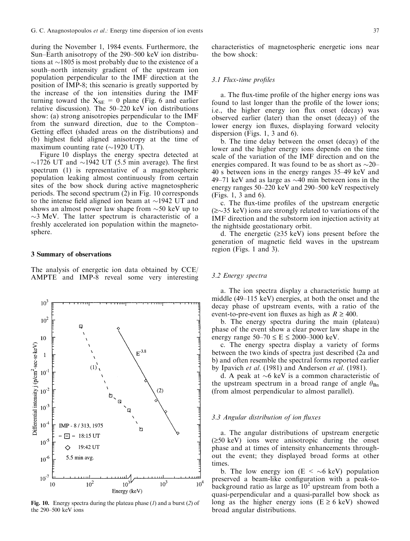during the November 1, 1984 events. Furthermore, the Sun $-$ Earth anisotropy of the 290 $-$ 500 keV ion distributions at  $\sim$ 1805 is most probably due to the existence of a south-north intensity gradient of the upstream ion population perpendicular to the IMF direction at the position of IMP-8; this scenario is greatly supported by the increase of the ion intensities during the IMF turning toward the  $X_{SE} = 0$  plane (Fig. 6 and earlier relative discussion). The  $50-220$  keV ion distributions show: (a) strong anisotropies perpendicular to the IMF from the sunward direction, due to the Compton-Getting effect (shaded areas on the distributions) and (b) highest field aligned anisotropy at the time of maximum counting rate  $(\sim 1920 \text{ UT})$ .

Figure 10 displays the energy spectra detected at  $\sim$ 1726 UT and  $\sim$ 1942 UT (5.5 min average). The first spectrum (1) is representative of a magnetospheric population leaking almost continuously from certain sites of the bow shock during active magnetospheric periods. The second spectrum (2) in Fig. 10 corresponds to the intense field aligned ion beam at  $\sim$ 1942 UT and shows an almost power law shape from  $\sim$ 50 keV up to  $\sim$ 3 MeV. The latter spectrum is characteristic of a freshly accelerated ion population within the magnetosphere.

### 3 Summary of observations

The analysis of energetic ion data obtained by CCE/ AMPTE and IMP-8 reveal some very interesting



Fig. 10. Energy spectra during the plateau phase  $(1)$  and a burst  $(2)$  of the 290-500 keV ions

characteristics of magnetospheric energetic ions near the bow shock:

## 3.1 Flux-time profiles

a. The flux-time profile of the higher energy ions was found to last longer than the profile of the lower ions; i.e., the higher energy ion flux onset (decay) was observed earlier (later) than the onset (decay) of the lower energy ion fluxes, displaying forward velocity dispersion (Figs. 1, 3 and 6).

b. The time delay between the onset (decay) of the lower and the higher energy ions depends on the time scale of the variation of the IMF direction and on the energies compared. It was found to be as short as  $\sim$ 20 $-$ 40 s between ions in the energy ranges 35–49 keV and 49 $-71$  keV and as large as  $\sim$ 40 min between ions in the energy ranges  $50-220 \text{ keV}$  and  $290-500 \text{ keV}$  respectively (Figs. 1, 3 and 6).

c. The flux-time profiles of the upstream energetic  $(\geq 35 \text{ keV})$  ions are strongly related to variations of the IMF direction and the substorm ion injection activity at the nightside geostationary orbit.

d. The energetic  $(\geq 35 \text{ keV})$  ions present before the generation of magnetic field waves in the upstream region (Figs. 1 and 3).

# 3.2 Energy spectra

a. The ion spectra display a characteristic hump at middle  $(49-115 \text{ keV})$  energies, at both the onset and the decay phase of upstream events, with a ratio of the event-to-pre-event ion fluxes as high as  $R \ge 400$ .

b. The energy spectra during the main (plateau) phase of the event show a clear power law shape in the energy range  $50-70 \le E \le 2000-3000$  keV.

c. The energy spectra display a variety of forms between the two kinds of spectra just described (2a and b) and often resemble the spectral forms reported earlier by Ipavich et al. (1981) and Anderson et al. (1981).

d. A peak at  $\sim$ 6 keV is a common characteristic of the upstream spectrum in a broad range of angle  $\theta_{\text{Bn}}$ (from almost perpendicular to almost parallel).

## 3.3 Angular distribution of ion fluxes

a. The angular distributions of upstream energetic  $(\geq 50 \text{ keV})$  ions were anisotropic during the onset phase and at times of intensity enhancements throughout the event; they displayed broad forms at other times.

b. The low energy ion ( $E < \sim 6 \text{ keV}$ ) population preserved a beam-like configuration with a peak-tobackground ratio as large as  $10<sup>2</sup>$  upstream from both a quasi-perpendicular and a quasi-parallel bow shock as long as the higher energy ions  $(E \ge 6 \text{ keV})$  showed broad angular distributions.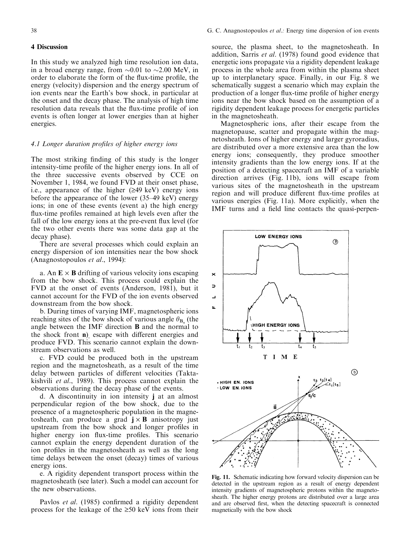## 4 Discussion

In this study we analyzed high time resolution ion data, in a broad energy range, from  $\sim 0.01$  to  $\sim 2.00$  MeV, in order to elaborate the form of the flux-time profile, the energy (velocity) dispersion and the energy spectrum of ion events near the Earth's bow shock, in particular at the onset and the decay phase. The analysis of high time resolution data reveals that the flux-time profile of ion events is often longer at lower energies than at higher energies.

# 4.1 Longer duration profiles of higher energy ions

The most striking finding of this study is the longer intensity-time profile of the higher energy ions. In all of the three successive events observed by CCE on November 1, 1984, we found FVD at their onset phase, i.e., appearance of the higher  $(≥49 \text{ keV})$  energy ions before the appearance of the lower  $(35-49 \text{ keV})$  energy ions; in one of these events (event a) the high energy flux-time profiles remained at high levels even after the fall of the low energy ions at the pre-event flux level (for the two other events there was some data gap at the decay phase).

There are several processes which could explain an energy dispersion of ion intensities near the bow shock (Anagnostopoulos et al., 1994):

a. An  $\mathbf{E} \times \mathbf{B}$  drifting of various velocity ions escaping from the bow shock. This process could explain the FVD at the onset of events (Anderson, 1981), but it cannot account for the FVD of the ion events observed downstream from the bow shock.

b. During times of varying IMF, magnetospheric ions reaching sites of the bow shock of various angle  $\theta_{\text{B}_{n}}$  (the angle between the IMF direction B and the normal to the shock front  $\bf{n}$ ) escape with different energies and produce FVD. This scenario cannot explain the downstream observations as well.

c. FVD could be produced both in the upstream region and the magnetosheath, as a result of the time delay between particles of different velocities (Taktakishvili et al., 1989). This process cannot explain the observations during the decay phase of the events.

d. A discontinuity in ion intensity j at an almost perpendicular region of the bow shock, due to the presence of a magnetospheric population in the magnetosheath, can produce a grad  $j \times B$  anisotropy just upstream from the bow shock and longer profiles in higher energy ion flux-time profiles. This scenario cannot explain the energy dependent duration of the ion profiles in the magnetosheath as well as the long time delays between the onset (decay) times of various energy ions.

e. A rigidity dependent transport process within the magnetosheath (see later). Such a model can account for the new observations.

Pavlos et al. (1985) confirmed a rigidity dependent process for the leakage of the  $\geq 50$  keV ions from their source, the plasma sheet, to the magnetosheath. In addition, Sarris et al. (1978) found good evidence that energetic ions propagate via a rigidity dependent leakage process in the whole area from within the plasma sheet up to interplanetary space. Finally, in our Fig. 8 we schematically suggest a scenario which may explain the production of a longer flux-time profile of higher energy ions near the bow shock based on the assumption of a rigidity dependent leakage process for energetic particles in the magnetosheath.

Magnetospheric ions, after their escape from the magnetopause, scatter and propagate within the magnetosheath. Ions of higher energy and larger gyroradius, are distributed over a more extensive area than the low energy ions; consequently, they produce smoother intensity gradients than the low energy ions. If at the position of a detecting spacecraft an IMF of a variable direction arrives (Fig. 11b), ions will escape from various sites of the magnetosheath in the upstream region and will produce different flux-time profiles at various energies (Fig. 11a). More explicitly, when the IMF turns and a field line contacts the quasi-perpen-



Fig. 11. Schematic indicating how forward velocity dispersion can be detected in the upstream region as a result of energy dependent intensity gradients of magnetospheric protons within the magnetosheath. The higher energy protons are distributed over a large area and are observed first, when the detecting spacecraft is connected magnetically with the bow shock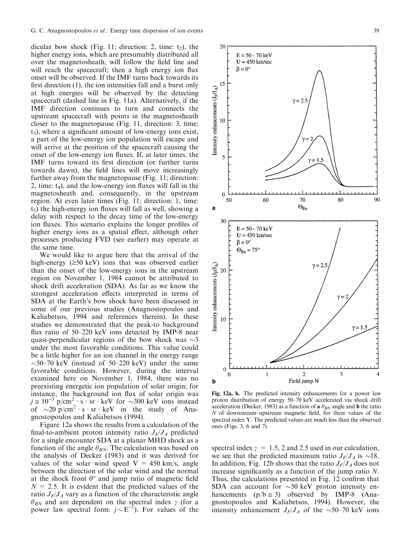dicular bow shock (Fig. 11; direction: 2, time:  $t_2$ ), the higher energy ions, which are presumably distributed all over the magnetosheath, will follow the field line and will reach the spacecraft; then a high energy ion flux onset will be observed. If the IMF turns back towards its first direction  $(1)$ , the ion intensities fall and a burst only at high energies will be observed by the detecting spacecraft (dashed line in Fig. 11a). Alternatively, if the IMF direction continues to turn and connects the upstream spacecraft with points in the magnetosheath closer to the magnetopause (Fig. 11, direction: 3, time:  $t<sub>3</sub>$ ), where a significant amount of low-energy ions exist, a part of the low-energy ion population will escape and will arrive at the position of the spacecraft causing the onset of the low-energy ion fluxes. If, at later times, the IMF turns toward its first direction (or further turns towards dawn), the field lines will move increasingly further away from the magnetopause (Fig. 11; direction: 2, time:  $t_4$ ), and the low-energy ion fluxes will fall in the magnetosheath and, consequently, in the upstream region. At even later times (Fig. 11; direction: 1, time:  $t<sub>5</sub>$ ) the high-energy ion fluxes will fall as well, showing a delay with respect to the decay time of the low-energy ion fluxes. This scenario explains the longer profiles of higher energy ions as a spatial effect, although other processes producing FVD (see earlier) may operate at the same time.

We would like to argue here that the arrival of the high-energy  $(≥50 \text{ keV})$  ions that was observed earlier than the onset of the low-energy ions in the upstream region on November 1, 1984 cannot be attributed to shock drift acceleration (SDA). As far as we know the strongest acceleration effects interpreted in terms of SDA at the Earth's bow shock have been discussed in some of our previous studies (Anagnostopoulos and Kaliabetsos, 1994 and references therein). In these studies we demonstrated that the peak-to background flux ratio of  $50-220$  keV ions detected by IMP-8 near quasi-perpendicular regions of the bow shock was  $\sim$ 3 under the most favorable conditions. This value could be a little higher for an ion channel in the energy range  $\sim$ 50–70 keV (instead of 50–220 keV) under the same favorable conditions. However, during the interval examined here on November 1, 1984, there was no preexisting energetic ion population of solar origin; for instance, the background ion flux of solar origin was  $j \approx 10^{-3} \text{ p/cm}^2 \cdot \text{s} \cdot \text{sr} \cdot \text{keV}$  for  $\sim 300 \text{ keV}$  ions instead of  $\sim 20 \text{ p/cm}^2 \cdot \text{s} \cdot \text{sr} \cdot \text{keV}$  in the study of Anagnostopoulos and Kaliabetsos (1994).

Figure 12a shows the results from a calculation of the final-to-ambient proton intensity ratio  $J_F/J_A$  predicted for a single encounter SDA at a planar MHD shock as a function of the angle  $\theta_{BN}$ . The calculation was based on the analysis of Decker (1983) and it was derived for values of the solar wind speed  $V = 450$  km/s, angle between the direction of the solar wind and the normal at the shock front  $0^{\circ}$  and jump ratio of magnetic field  $N = 2.5$ . It is evident that the predicted values of the ratio  $J_F/J_A$  vary as a function of the characteristic angle  $\theta_{BN}$  and are dependent on the spectral index  $\gamma$  (for a power law spectral form:  $j \sim E^{-\gamma}$ ). For values of the



Fig. 12a, b. The predicted intensity enhancements for a power law proton distribution of energy 50-70 keV accelerated via shock drift acceleration (Decker, 1983) as a function of **a**  $\theta_{BN}$  angle and **b** the ratio  $N$  of downstream-upstream magnetic field, for three values of the spectral index Y. The predicted values are much less than the observed ones (Figs. 3, 6 and 7)

spectral index  $\gamma = 1.5$ , 2 and 2.5 used in our calculation, we see that the predicted maximum ratio  $J_F/J_A$  is  $\sim 18$ . In addition, Fig. 12b shows that the ratio  $J_F/J_A$  does not increase significantly as a function of the jump ratio  $N$ . Thus, the calculations presented in Fig. 12 confirm that SDA can account for  $\sim 50$  keV proton intensity enhancements  $(p/b \approx 3)$  observed by IMP-8 (Anagnostopoulos and Kaliabetsos, 1994). However, the intensity enhancement  $J_F/J_A$  of the  $\sim$ 50–70 keV ions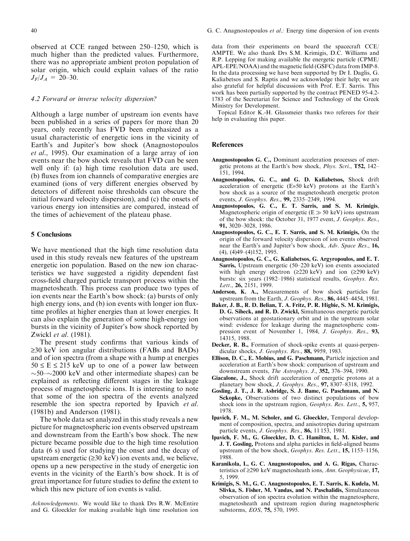observed at CCE ranged between 250–1250, which is much higher than the predicted values. Furthermore, there was no appropriate ambient proton population of solar origin, which could explain values of the ratio  $J_F/J_A = 20-30.$ 

# 4.2 Forward or inverse velocity dispersion?

Although a large number of upstream ion events have been published in a series of papers for more than 20 years, only recently has FVD been emphasized as a usual characteristic of energetic ions in the vicinity of Earth's and Jupiter's bow shock (Anagnostopoulos et al., 1995). Our examination of a large array of ion events near the bow shock reveals that FVD can be seen well only if: (a) high time resolution data are used, (b) fluxes from ion channels of comparative energies are examined (ions of very different energies observed by detectors of different noise thresholds can obscure the initial forward velocity dispersion), and (c) the onsets of various energy ion intensities are compared, instead of the times of achievement of the plateau phase.

## 5 Conclusions

We have mentioned that the high time resolution data used in this study reveals new features of the upstream energetic ion population. Based on the new ion characteristics we have suggested a rigidity dependent fast cross-field charged particle transport process within the magnetosheath. This process can produce two types of ion events near the Earth's bow shock: (a) bursts of only high energy ions, and (b) ion events with longer ion fluxtime profiles at higher energies than at lower energies. It can also explain the generation of some high-energy ion bursts in the vicinity of Jupiter's bow shock reported by Zwickl et al. (1981).

The present study confirms that various kinds of  $\geq$ 30 keV ion angular distributions (FABs and BADs) and of ion spectra (from a shape with a hump at energies  $50 \le E \le 215$  keV up to one of a power law between  $\sim$ 50 $\sim$ 2000 keV and other intermediate shapes) can be explained as reflecting different stages in the leakage process of magnetospheric ions. It is interesting to note that some of the ion spectra of the events analyzed resemble the ion spectra reported by Ipavich et al. (1981b) and Anderson (1981).

The whole data set analyzed in this study reveals a new picture for magnetospheric ion events observed upstream and downstream from the Earth's bow shock. The new picture became possible due to the high time resolution data (6 s) used for studying the onset and the decay of upstream energetic  $(\geq 30 \text{ keV})$  ion events and, we believe, opens up a new perspective in the study of energetic ion events in the vicinity of the Earth's bow shock. It is of great importance for future studies to define the extent to which this new picture of ion events is valid.

Acknowledgements. We would like to thank Drs R.W. McEntire and G. Gloeckler for making available high time resolution ion data from their experiments on board the spacecraft CCE/ AMPTE. We also thank Drs S.M. Krimigis, D.C. Williams and R.P. Lepping for making available the energetic particle (CPME/ APL-EPE/NOAA) and the magnetic field (GSFC) data from IMP-8. In the data processing we have been supported by Dr I. Daglis, G. Kaliabetsos and S. Raptis and we acknowledge their help; we are also grateful for helpful discussions with Prof. E.T. Sarris. This work has been partially supported by the contract PENED 95-4.2- 1783 of the Secretariat for Science and Technology of the Greek Ministry for Development.

Topical Editor K.-H. Glassmeier thanks two referees for their help in evaluating this paper.

#### References

- Anagnostopoulos G. C., Dominant acceleration processes of energetic protons at the Earth's bow shock, Phys. Scri., T52, 142-151, 1994.
- Anagnostopoulos, G. C., and G. D. Kaliabetsos, Shock drift acceleration of energetic (E»50 keV) protons at the Earth's bow shock as a source of the magnetosheath energetic proton events, J. Geophys. Res., 99, 2335-2349, 1994.
- Anagnostopoulos, G. C., E. T. Sarris, and S. M. Krimigis, Magnetospheric origin of energetic ( $E \gg 50$  keV) ions upstream of the bow shock: the October 31, 1977 event, J. Geophys. Res., 91, 3020-3028, 1986.
- Anagnostopoulos, G. C., E. T. Sarris, and S. M. Krimigis, On the origin of the forward velocity dispersion of ion events observed near the Earth's and Jupiter's bow shock, Adv. Space Res., 16,  $(4)$ ,  $(4)49-(4)152$ , 1995.
- Anagnostopoulos, G. C., G. Kaliabetsos, G. Argyropoulos, and E. T. Sarris, Upstream energetic (50-220 keV) ion events associated with high energy electron ( $\geq 220 \text{ keV}$ ) and ion ( $\geq 290 \text{ keV}$ ) bursts: six years (1982-1986) statistical results, Geophys. Res. Lett., 26, 2151, 1999.
- Anderson, K. A., Measurements of bow shock particles far upstream from the Earth, *J. Geophys. Res.*, **86**, 4445–4454, 1981.
- Baker, J. B., R. D. Belian, T. A. Fritz, P. R. Higbie, S. M. Krimigis, D. G. Sibeck, and R. D. Zwickl, Simultaneous energetic particle observations at geostationary orbit and in the upstream solar wind: evidence for leakage during the magnetospheric compression event of November 1, 1984, J. Geophys. Res., 93, 14315, 1988.
- Decker, R. B., Formation of shock-spike events at quasi-perpendicular shocks, J. Geophys. Res., 88, 9959, 1983.
- Ellison, D. C., E. Mobius, and G. Paschmann, Particle injection and acceleration at Earth's bow shock: comparison of upstream and downstream events, *The Astrophys. J.*, 352, 376-394, 1990.
- Giacalone, J., Shock drift acceleration of energetic protons at a planetary bow shock, J. Geophys. Res., 97, 8307-8318, 1992.
- Gosling, J. T., J. R. Asbridge, S. J. Bame, G. Paschmann, and N. Sckopke, Observations of two distinct populations of bow shock ions in the upstream region, Geophys. Res. Lett., 5, 957, 1978.
- Ipavich, F. M., M. Scholer, and G. Gloeckler, Temporal development of composition, spectra, and anisotropies during upstream particle events, J. Geophys. Res., 86, 11 153, 1981.
- Ipavich, F. M., G. Gloeckler, D. C. Hamilton, L. M. Kisler, and J. T. Gosling, Protons and alpha particles in field-aligned beams upstream of the bow shock,  $Geophys$ . Res. Lett., 15, 1153-1156, 1988.
- Karanikola, I., G. C. Anagnostopoulos, and A. G. Rigas, Characteristics of  $\geq$ 290 keV magnetosheath ions, Ann. Geophysicae, 17, 5, 1999.
- Krimigis, S. M., G. C. Anagnostopoulos, E. T. Sarris, K. Kudela, M. Slivka, S. Fisher, M. Vandas, and N. Paschalidis, Simultaneous observation of ion spectra evolution within the magnetosphere, magnetosheath and upstream region during magnetospheric substorms, EOS, 75, 570, 1995.